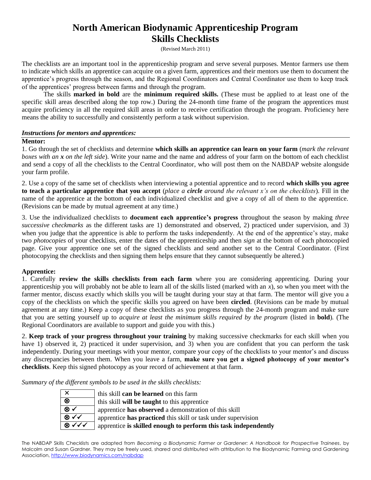#### **North American Biodynamic Apprenticeship Program Skills Checklists**

(Revised March 2011)

The checklists are an important tool in the apprenticeship program and serve several purposes. Mentor farmers use them to indicate which skills an apprentice can acquire on a given farm, apprentices and their mentors use them to document the apprentice's progress through the season, and the Regional Coordinators and Central Coordinator use them to keep track of the apprentices' progress between farms and through the program.

The skills **marked in bold** are the **minimum required skills.** (These must be applied to at least one of the specific skill areas described along the top row.) During the 24-month time frame of the program the apprentices must acquire proficiency in all the required skill areas in order to receive certification through the program. Proficiency here means the ability to successfully and consistently perform a task without supervision.

#### *Instructions for mentors and apprentices:*

#### **Mentor:**

1. Go through the set of checklists and determine **which skills an apprentice can learn on your farm** (*mark the relevant boxes with an x on the left side*). Write your name and the name and address of your farm on the bottom of each checklist and send a copy of all the checklists to the Central Coordinator, who will post them on the NABDAP website alongside your farm profile.

2. Use a copy of the same set of checklists when interviewing a potential apprentice and to record **which skills you agree to teach a particular apprentice that you accept** (*place a circle around the relevant x's on the checklists*). Fill in the name of the apprentice at the bottom of each individualized checklist and give a copy of all of them to the apprentice. (Revisions can be made by mutual agreement at any time.)

3. Use the individualized checklists to **document each apprentice's progress** throughout the season by making *three successive checkmarks* as the different tasks are 1) demonstrated and observed, 2) practiced under supervision, and 3) when you judge that the apprentice is able to perform the tasks independently. At the end of the apprentice's stay, make two *photocopies* of your checklists, enter the dates of the apprenticeship and then *sign* at the bottom of each photocopied page. Give your apprentice one set of the signed checklists and send another set to the Central Coordinator. (First photocopying the checklists and then signing them helps ensure that they cannot subsequently be altered.)

#### **Apprentice:**

1. Carefully **review the skills checklists from each farm** where you are considering apprenticing. During your apprenticeship you will probably not be able to learn all of the skills listed (marked with an *x*), so when you meet with the farmer mentor, discuss exactly which skills you will be taught during your stay at that farm. The mentor will give you a copy of the checklists on which the specific skills you agreed on have been **circled**. (Revisions can be made by mutual agreement at any time.) Keep a copy of these checklists as you progress through the 24-month program and make sure that you are setting yourself up to *acquire at least the minimum skills required by the program* (listed in **bold**)*.* (The Regional Coordinators are available to support and guide you with this.)

2. **Keep track of your progress throughout your training** by making successive checkmarks for each skill when you have 1) observed it, 2) practiced it under supervision, and 3) when you are confident that you can perform the task independently. During your meetings with your mentor, compare your copy of the checklists to your mentor's and discuss any discrepancies between them. When you leave a farm, **make sure you get a signed photocopy of your mentor's checklists**. Keep this signed photocopy as your record of achievement at that farm.

*Summary of the different symbols to be used in the skills checklists:*

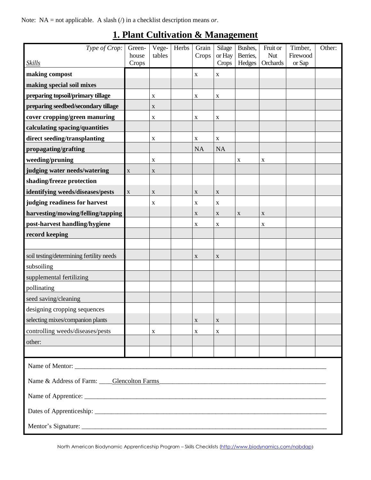Note: NA = not applicable. A slash (/) in a checklist description means *or*.

| Type of Crop:                            | Green-<br>house | Vege-<br>tables | Herbs | Grain<br>Crops | Silage<br>or Hay | Bushes,<br>Berries, | Fruit or<br>Nut | Timber,<br>Firewood | Other: |
|------------------------------------------|-----------------|-----------------|-------|----------------|------------------|---------------------|-----------------|---------------------|--------|
| <b>Skills</b>                            | Crops           |                 |       |                | Crops            | Hedges              | Orchards        | or Sap              |        |
| making compost                           |                 |                 |       | $\mathbf X$    | X                |                     |                 |                     |        |
| making special soil mixes                |                 |                 |       |                |                  |                     |                 |                     |        |
| preparing topsoil/primary tillage        |                 | X               |       | X              | X                |                     |                 |                     |        |
| preparing seedbed/secondary tillage      |                 | X               |       |                |                  |                     |                 |                     |        |
| cover cropping/green manuring            |                 | X               |       | X              | X                |                     |                 |                     |        |
| calculating spacing/quantities           |                 |                 |       |                |                  |                     |                 |                     |        |
| direct seeding/transplanting             |                 | X               |       | X              | $\mathbf X$      |                     |                 |                     |        |
| propagating/grafting                     |                 |                 |       | <b>NA</b>      | <b>NA</b>        |                     |                 |                     |        |
| weeding/pruning                          |                 | X               |       |                |                  | X                   | X               |                     |        |
| judging water needs/watering             | $\mathbf X$     | $\mathbf X$     |       |                |                  |                     |                 |                     |        |
| shading/freeze protection                |                 |                 |       |                |                  |                     |                 |                     |        |
| identifying weeds/diseases/pests         | $\mathbf X$     | X               |       | $\mathbf X$    | $\mathbf X$      |                     |                 |                     |        |
| judging readiness for harvest            |                 | X               |       | X              | X                |                     |                 |                     |        |
| harvesting/mowing/felling/tapping        |                 |                 |       | $\mathbf X$    | $\mathbf X$      | $\mathbf X$         | X               |                     |        |
| post-harvest handling/hygiene            |                 |                 |       | X              | X                |                     | X               |                     |        |
| record keeping                           |                 |                 |       |                |                  |                     |                 |                     |        |
|                                          |                 |                 |       |                |                  |                     |                 |                     |        |
| soil testing/determining fertility needs |                 |                 |       | $\mathbf X$    | $\mathbf X$      |                     |                 |                     |        |
| subsoiling                               |                 |                 |       |                |                  |                     |                 |                     |        |
| supplemental fertilizing                 |                 |                 |       |                |                  |                     |                 |                     |        |
| pollinating                              |                 |                 |       |                |                  |                     |                 |                     |        |
| seed saving/cleaning                     |                 |                 |       |                |                  |                     |                 |                     |        |
| designing cropping sequences             |                 |                 |       |                |                  |                     |                 |                     |        |
| selecting mixes/companion plants         |                 |                 |       | X              | X                |                     |                 |                     |        |
| controlling weeds/diseases/pests         |                 | X               |       | X              | X                |                     |                 |                     |        |
| other:                                   |                 |                 |       |                |                  |                     |                 |                     |        |
|                                          |                 |                 |       |                |                  |                     |                 |                     |        |
|                                          |                 |                 |       |                |                  |                     |                 |                     |        |
| Name & Address of Farm: Clencolton Farms |                 |                 |       |                |                  |                     |                 |                     |        |
|                                          |                 |                 |       |                |                  |                     |                 |                     |        |
|                                          |                 |                 |       |                |                  |                     |                 |                     |        |
|                                          |                 |                 |       |                |                  |                     |                 |                     |        |

#### **1. Plant Cultivation & Management**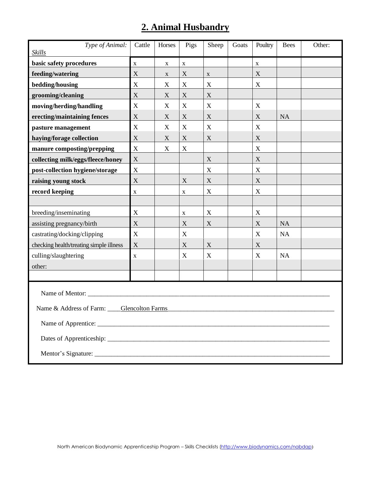## **2. Animal Husbandry**

| Type of Animal:<br><b>Skills</b>         | Cattle                    | Horses           | Pigs        | Sheep       | Goats | Poultry     | <b>Bees</b> | Other: |
|------------------------------------------|---------------------------|------------------|-------------|-------------|-------|-------------|-------------|--------|
| basic safety procedures                  | $\mathbf X$               | $\mathbf X$      | $\mathbf X$ |             |       | $\mathbf X$ |             |        |
| feeding/watering                         | X                         | $\mathbf X$      | X           | $\mathbf X$ |       | X           |             |        |
| bedding/housing                          | X                         | $\boldsymbol{X}$ | $\mathbf X$ | X           |       | X           |             |        |
| grooming/cleaning                        | $\mathbf X$               | X                | X           | X           |       |             |             |        |
| moving/herding/handling                  | $\mathbf X$               | X                | $\mathbf X$ | $\mathbf X$ |       | X           |             |        |
| erecting/maintaining fences              | $\boldsymbol{\mathrm{X}}$ | X                | $\mathbf X$ | $\mathbf X$ |       | X           | <b>NA</b>   |        |
| pasture management                       | X                         | X                | $\mathbf X$ | X           |       | X           |             |        |
| haying/forage collection                 | $\mathbf X$               | X                | X           | $\mathbf X$ |       | X           |             |        |
| manure composting/prepping               | $\mathbf X$               | $\mathbf X$      | X           |             |       | X           |             |        |
| collecting milk/eggs/fleece/honey        | $\mathbf X$               |                  |             | X           |       | X           |             |        |
| post-collection hygiene/storage          | $\mathbf X$               |                  |             | $\mathbf X$ |       | X           |             |        |
| raising young stock                      | $\boldsymbol{\mathrm{X}}$ |                  | $\mathbf X$ | $\mathbf X$ |       | X           |             |        |
| record keeping                           | $\mathbf X$               |                  | X           | $\mathbf X$ |       | X           |             |        |
|                                          |                           |                  |             |             |       |             |             |        |
| breeding/inseminating                    | $\mathbf X$               |                  | X           | X           |       | X           |             |        |
| assisting pregnancy/birth                | $\boldsymbol{\mathrm{X}}$ |                  | $\mathbf X$ | $\mathbf X$ |       | X           | <b>NA</b>   |        |
| castrating/docking/clipping              | X                         |                  | X           |             |       | X           | <b>NA</b>   |        |
| checking health/treating simple illness  | X                         |                  | X           | X           |       | X           |             |        |
| culling/slaughtering                     | $\mathbf X$               |                  | X           | X           |       | X           | <b>NA</b>   |        |
| other:                                   |                           |                  |             |             |       |             |             |        |
|                                          |                           |                  |             |             |       |             |             |        |
|                                          |                           |                  |             |             |       |             |             |        |
| Name & Address of Farm: Clencolton Farms |                           |                  |             |             |       |             |             |        |
|                                          |                           |                  |             |             |       |             |             |        |
|                                          |                           |                  |             |             |       |             |             |        |
|                                          |                           |                  |             |             |       |             |             |        |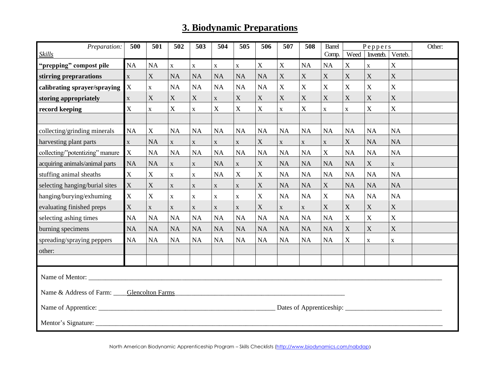### **3. Biodynamic Preparations**

| Preparation:                             | 500            | 501                       | 502         | 503         | 504          | 505         | 506         | 507         | 508         | Peppers<br><b>Barrel</b> |             |                | Other:                    |  |
|------------------------------------------|----------------|---------------------------|-------------|-------------|--------------|-------------|-------------|-------------|-------------|--------------------------|-------------|----------------|---------------------------|--|
| <b>Skills</b>                            |                |                           |             |             |              |             |             |             |             | Comp.                    | Weed        | Inverteb.      | Verteb.                   |  |
| "prepping" compost pile                  | NA             | NA                        | $\mathbf X$ | $\mathbf X$ | $\mathbf X$  | $\mathbf X$ | $\mathbf X$ | $\mathbf X$ | <b>NA</b>   | NA                       | $\mathbf X$ | $\mathbf X$    | $\mathbf X$               |  |
| stirring preprarations                   | $\mathbf X$    | $\mathbf X$               | <b>NA</b>   | $\rm NA$    | <b>NA</b>    | $\rm NA$    | NA          | X           | $\mathbf X$ | $\mathbf X$              | $\mathbf X$ | $\mathbf X$    | $\mathbf X$               |  |
| calibrating sprayer/spraying             | $\mathbf X$    | $\mathbf X$               | <b>NA</b>   | NA          | NA           | $\rm NA$    | <b>NA</b>   | $\mathbf X$ | $\mathbf X$ | $\overline{X}$           | $\mathbf X$ | $\overline{X}$ | $\overline{X}$            |  |
| storing appropriately                    | $\mathbf X$    | X                         | $\mathbf X$ | $\mathbf X$ | $\mathbf{X}$ | $\mathbf X$ | $\mathbf X$ | $\mathbf X$ | $\mathbf X$ | $\mathbf X$              | $\mathbf X$ | X              | $\mathbf X$               |  |
| record keeping                           | $\overline{X}$ | $\mathbf X$               | $\mathbf X$ | $\mathbf X$ | $\mathbf X$  | $\mathbf X$ | $\mathbf X$ | $\mathbf X$ | $\mathbf X$ | $\mathbf X$              | $\mathbf X$ | $\mathbf X$    | $\mathbf X$               |  |
|                                          |                |                           |             |             |              |             |             |             |             |                          |             |                |                           |  |
| collecting/grinding minerals             | NA             | $\boldsymbol{\mathrm{X}}$ | NA          | NA          | NA           | NA          | <b>NA</b>   | NA          | NA          | NA                       | <b>NA</b>   | <b>NA</b>      | NA                        |  |
| harvesting plant parts                   | $\mathbf X$    | <b>NA</b>                 | $\mathbf X$ | $\mathbf X$ | $\mathbf X$  | $\mathbf X$ | $\mathbf X$ | $\mathbf X$ | $\mathbf X$ | $\mathbf X$              | $\mathbf X$ | <b>NA</b>      | <b>NA</b>                 |  |
| collecting/"potentizing" manure          | $\mathbf X$    | NA                        | <b>NA</b>   | $\rm NA$    | NA           | NA          | <b>NA</b>   | NA          | NA          | $\mathbf X$              | NA          | <b>NA</b>      | <b>NA</b>                 |  |
| acquiring animals/animal parts           | <b>NA</b>      | <b>NA</b>                 | $\mathbf X$ | $\mathbf X$ | NA           | $\mathbf X$ | $\mathbf X$ | NA          | <b>NA</b>   | NA                       | <b>NA</b>   | $\mathbf X$    | $\mathbf X$               |  |
| stuffing animal sheaths                  | $\mathbf X$    | $\mathbf X$               | $\mathbf X$ | $\mathbf X$ | NA           | $\mathbf X$ | $\mathbf X$ | NA          | NA          | NA                       | NA          | NA             | NA                        |  |
| selecting hanging/burial sites           | $\mathbf X$    | $\mathbf X$               | $\mathbf X$ | $\mathbf X$ | $\mathbf X$  | $\mathbf X$ | $\mathbf X$ | NA          | NA          | $\mathbf X$              | NA          | <b>NA</b>      | <b>NA</b>                 |  |
| hanging/burying/exhuming                 | $\mathbf X$    | $\mathbf X$               | $\mathbf X$ | $\mathbf X$ | $\mathbf X$  | $\mathbf X$ | $\mathbf X$ | NA          | NA          | $\mathbf X$              | NA          | <b>NA</b>      | NA                        |  |
| evaluating finished preps                | $\mathbf X$    | $\mathbf X$               | $\mathbf X$ | $\mathbf X$ | $\mathbf X$  | $\mathbf X$ | $\mathbf X$ | $\mathbf X$ | $\mathbf X$ | $\mathbf X$              | $\mathbf X$ | $\mathbf X$    | $\mathbf X$               |  |
| selecting ashing times                   | <b>NA</b>      | NA                        | <b>NA</b>   | NA          | NA           | NA          | <b>NA</b>   | NA          | NA          | NA                       | $\mathbf X$ | $\mathbf X$    | $\mathbf X$               |  |
| burning specimens                        | <b>NA</b>      | <b>NA</b>                 | <b>NA</b>   | NA          | NA           | NA          | <b>NA</b>   | <b>NA</b>   | <b>NA</b>   | NA                       | $\mathbf X$ | X              | $\boldsymbol{\mathrm{X}}$ |  |
| spreading/spraying peppers               | <b>NA</b>      | NA                        | <b>NA</b>   | NA          | NA           | NA          | $\rm NA$    | NA          | NA          | NA                       | $\mathbf X$ | $\mathbf X$    | $\mathbf X$               |  |
| other:                                   |                |                           |             |             |              |             |             |             |             |                          |             |                |                           |  |
|                                          |                |                           |             |             |              |             |             |             |             |                          |             |                |                           |  |
| Name of Mentor:                          |                |                           |             |             |              |             |             |             |             |                          |             |                |                           |  |
| Name & Address of Farm: Clencolton Farms |                |                           |             |             |              |             |             |             |             |                          |             |                |                           |  |
|                                          |                |                           |             |             |              |             |             |             |             |                          |             |                |                           |  |
|                                          |                |                           |             |             |              |             |             |             |             |                          |             |                |                           |  |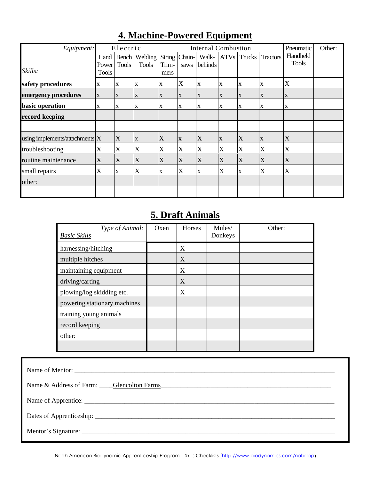| Equipment:                     |             | Electric     |              |              |             | <b>Internal Combustion</b> |              |             |                 | Pneumatic                 | Other: |
|--------------------------------|-------------|--------------|--------------|--------------|-------------|----------------------------|--------------|-------------|-----------------|---------------------------|--------|
|                                | Hand        | Bench        | Welding      | String       | Chain-      | Walk-                      |              | ATVs Trucks | <b>Tractors</b> | Handheld                  |        |
|                                | Power       | <b>Tools</b> | <b>Tools</b> | Trim-        | saws        | behinds                    |              |             |                 | <b>Tools</b>              |        |
| Skills:                        | Tools       |              |              | mers         |             |                            |              |             |                 |                           |        |
| safety procedures              | X           | X            | $\mathbf X$  | $\mathbf X$  | X           | X                          | X            | X           | X               | X                         |        |
| emergency procedures           | $\mathbf X$ | X            | $\mathbf X$  | $\mathbf{X}$ | $\mathbf X$ | X                          | $\mathbf{X}$ | $\mathbf X$ | $\mathbf X$     | $\boldsymbol{\mathrm{X}}$ |        |
| basic operation                | X           | $\mathbf X$  | $\mathbf X$  | X            | X           | X                          | X            | X           | $\mathbf X$     | X                         |        |
| record keeping                 |             |              |              |              |             |                            |              |             |                 |                           |        |
|                                |             |              |              |              |             |                            |              |             |                 |                           |        |
| using implements/attachments X |             | X            | $\mathbf X$  | X            | X           | X                          | X            | X           | $\mathbf X$     | X                         |        |
| troubleshooting                | X           | X            | X            | X            | X           | X                          | X            | X           | X               | X                         |        |
| routine maintenance            | X           | X            | X            | X            | X           | X                          | X            | X           | X               | X                         |        |
| small repairs                  | X           | X            | X            | X            | X           | X                          | X            | X           | X               | X                         |        |
| other:                         |             |              |              |              |             |                            |              |             |                 |                           |        |
|                                |             |              |              |              |             |                            |              |             |                 |                           |        |

### **4. Machine-Powered Equipment**

### **5. Draft Animals**

| Type of Animal:<br><b>Basic Skills</b> | Oxen | Horses | Mules/<br>Donkeys | Other: |
|----------------------------------------|------|--------|-------------------|--------|
| harnessing/hitching                    |      | X      |                   |        |
| multiple hitches                       |      | X      |                   |        |
| maintaining equipment                  |      | X      |                   |        |
| driving/carting                        |      | X      |                   |        |
| plowing/log skidding etc.              |      | X      |                   |        |
| powering stationary machines           |      |        |                   |        |
| training young animals                 |      |        |                   |        |
| record keeping                         |      |        |                   |        |
| other:                                 |      |        |                   |        |
|                                        |      |        |                   |        |

| Name of Mentor:                                                                                       |
|-------------------------------------------------------------------------------------------------------|
| Name & Address of Farm: Glencolton Farms Communication Contains and Address of Farm: Glencolton Farms |
|                                                                                                       |
|                                                                                                       |
|                                                                                                       |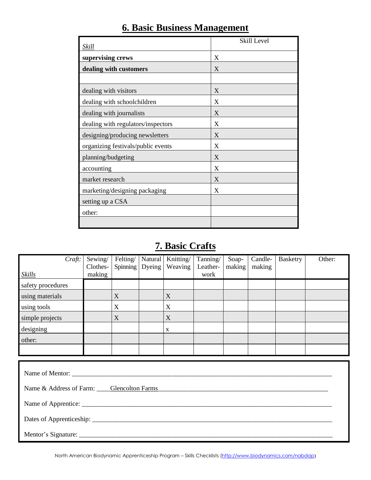| Skill                              | Skill Level |
|------------------------------------|-------------|
| supervising crews                  | X           |
| dealing with customers             | X           |
|                                    |             |
| dealing with visitors              | X           |
| dealing with schoolchildren        | X           |
| dealing with journalists           | X           |
| dealing with regulators/inspectors | X           |
| designing/producing newsletters    | X           |
| organizing festivals/public events | X           |
| planning/budgeting                 | X           |
| accounting                         | X           |
| market research                    | X           |
| marketing/designing packaging      | X           |
| setting up a CSA                   |             |
| other:                             |             |
|                                    |             |

### **6. Basic Business Management**

### **7. Basic Crafts**

| Craft:            | Sewing/  | Felting/ | Natural | Knitting/ | Tanning/ | Soap-  | Candle- | Basketry | Other: |
|-------------------|----------|----------|---------|-----------|----------|--------|---------|----------|--------|
|                   | Clothes- | Spinning | Dyeing  | Weaving   | Leather- | making | making  |          |        |
| <b>Skills</b>     | making   |          |         |           | work     |        |         |          |        |
| safety procedures |          |          |         |           |          |        |         |          |        |
| using materials   |          | X        |         | X         |          |        |         |          |        |
| using tools       |          | X        |         | X         |          |        |         |          |        |
| simple projects   |          | X        |         | X         |          |        |         |          |        |
| designing         |          |          |         | X         |          |        |         |          |        |
| other:            |          |          |         |           |          |        |         |          |        |
|                   |          |          |         |           |          |        |         |          |        |
|                   |          |          |         |           |          |        |         |          |        |

| Name of Mentor:                                                                                       |  |
|-------------------------------------------------------------------------------------------------------|--|
| Name & Address of Farm: Glencolton Farms Communication Contains and Address of Farm: Glencolton Farms |  |
|                                                                                                       |  |
|                                                                                                       |  |
|                                                                                                       |  |